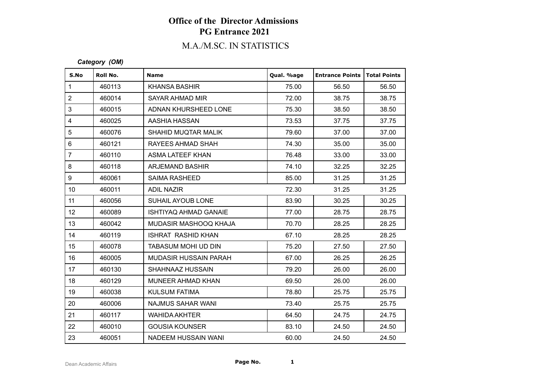## M.A./M.SC. IN STATISTICS

#### *Category (OM)*

| S.No             | Roll No. | <b>Name</b>                  | Qual. %age | <b>Entrance Points</b> | Total Points |
|------------------|----------|------------------------------|------------|------------------------|--------------|
| $\mathbf{1}$     | 460113   | <b>KHANSA BASHIR</b>         | 75.00      | 56.50                  | 56.50        |
| $\overline{2}$   | 460014   | SAYAR AHMAD MIR              | 72.00      | 38.75                  | 38.75        |
| 3                | 460015   | ADNAN KHURSHEED LONE         | 75.30      | 38.50                  | 38.50        |
| $\overline{4}$   | 460025   | AASHIA HASSAN                | 73.53      | 37.75                  | 37.75        |
| 5                | 460076   | SHAHID MUQTAR MALIK          | 79.60      | 37.00                  | 37.00        |
| $6\phantom{1}$   | 460121   | RAYEES AHMAD SHAH            | 74.30      | 35.00                  | 35.00        |
| $\overline{7}$   | 460110   | ASMA LATEEF KHAN             | 76.48      | 33.00                  | 33.00        |
| 8                | 460118   | ARJEMAND BASHIR              | 74.10      | 32.25                  | 32.25        |
| 9                | 460061   | <b>SAIMA RASHEED</b>         | 85.00      | 31.25                  | 31.25        |
| 10 <sup>°</sup>  | 460011   | <b>ADIL NAZIR</b>            | 72.30      | 31.25                  | 31.25        |
| 11               | 460056   | <b>SUHAIL AYOUB LONE</b>     | 83.90      | 30.25                  | 30.25        |
| 12 <sup>°</sup>  | 460089   | <b>ISHTIYAQ AHMAD GANAIE</b> | 77.00      | 28.75                  | 28.75        |
| 13               | 460042   | MUDASIR MASHOOQ KHAJA        | 70.70      | 28.25                  | 28.25        |
| 14               | 460119   | <b>ISHRAT RASHID KHAN</b>    | 67.10      | 28.25                  | 28.25        |
| 15 <sub>15</sub> | 460078   | <b>TABASUM MOHI UD DIN</b>   | 75.20      | 27.50                  | 27.50        |
| 16               | 460005   | <b>MUDASIR HUSSAIN PARAH</b> | 67.00      | 26.25                  | 26.25        |
| 17               | 460130   | SHAHNAAZ HUSSAIN             | 79.20      | 26.00                  | 26.00        |
| 18               | 460129   | MUNEER AHMAD KHAN            | 69.50      | 26.00                  | 26.00        |
| 19               | 460038   | <b>KULSUM FATIMA</b>         | 78.80      | 25.75                  | 25.75        |
| 20               | 460006   | NAJMUS SAHAR WANI            | 73.40      | 25.75                  | 25.75        |
| 21               | 460117   | <b>WAHIDA AKHTER</b>         | 64.50      | 24.75                  | 24.75        |
| 22               | 460010   | <b>GOUSIA KOUNSER</b>        | 83.10      | 24.50                  | 24.50        |
| 23               | 460051   | NADEEM HUSSAIN WANI          | 60.00      | 24.50                  | 24.50        |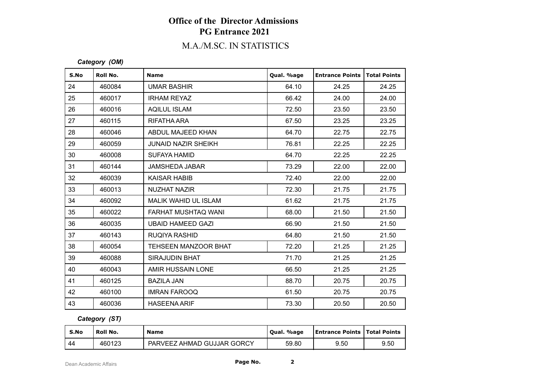## M.A./M.SC. IN STATISTICS

#### *Category (OM)*

| S.No | Roll No. | <b>Name</b>                | Qual. %age | <b>Entrance Points</b> | <b>Total Points</b> |
|------|----------|----------------------------|------------|------------------------|---------------------|
| 24   | 460084   | <b>UMAR BASHIR</b>         | 64.10      | 24.25                  | 24.25               |
| 25   | 460017   | <b>IRHAM REYAZ</b>         | 66.42      | 24.00                  | 24.00               |
| 26   | 460016   | <b>AQILUL ISLAM</b>        | 72.50      | 23.50                  | 23.50               |
| 27   | 460115   | RIFATHA ARA                | 67.50      | 23.25                  | 23.25               |
| 28   | 460046   | ABDUL MAJEED KHAN          | 64.70      | 22.75                  | 22.75               |
| 29   | 460059   | <b>JUNAID NAZIR SHEIKH</b> | 76.81      | 22.25                  | 22.25               |
| 30   | 460008   | <b>SUFAYA HAMID</b>        | 64.70      | 22.25                  | 22.25               |
| 31   | 460144   | <b>JAMSHEDA JABAR</b>      | 73.29      | 22.00                  | 22.00               |
| 32   | 460039   | <b>KAISAR HABIB</b>        | 72.40      | 22.00                  | 22.00               |
| 33   | 460013   | NUZHAT NAZIR               | 72.30      | 21.75                  | 21.75               |
| 34   | 460092   | MALIK WAHID UL ISLAM       | 61.62      | 21.75                  | 21.75               |
| 35   | 460022   | FARHAT MUSHTAQ WANI        | 68.00      | 21.50                  | 21.50               |
| 36   | 460035   | <b>UBAID HAMEED GAZI</b>   | 66.90      | 21.50                  | 21.50               |
| 37   | 460143   | <b>RUQIYA RASHID</b>       | 64.80      | 21.50                  | 21.50               |
| 38   | 460054   | TEHSEEN MANZOOR BHAT       | 72.20      | 21.25                  | 21.25               |
| 39   | 460088   | SIRAJUDIN BHAT             | 71.70      | 21.25                  | 21.25               |
| 40   | 460043   | AMIR HUSSAIN LONE          | 66.50      | 21.25                  | 21.25               |
| 41   | 460125   | <b>BAZILA JAN</b>          | 88.70      | 20.75                  | 20.75               |
| 42   | 460100   | <b>IMRAN FAROOQ</b>        | 61.50      | 20.75                  | 20.75               |
| 43   | 460036   | <b>HASEENA ARIF</b>        | 73.30      | 20.50                  | 20.50               |

### *Category (ST)*

| S.No | Roll No. | <b>Name</b>                | . %age<br>' Oual. | <b>Entrance Points   Total Points</b> |      |
|------|----------|----------------------------|-------------------|---------------------------------------|------|
| ' 44 | 460123   | PARVEEZ AHMAD GUJJAR GORCY | 59.80             | 9.50                                  | 9.50 |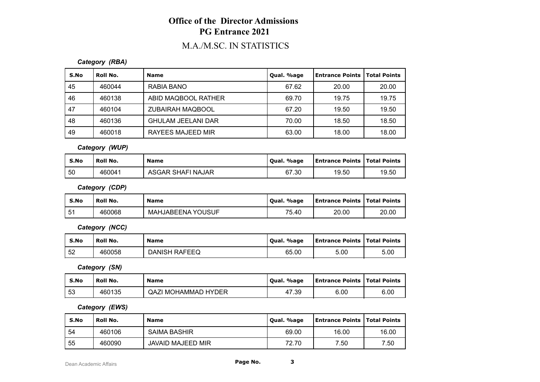## M.A./M.SC. IN STATISTICS

### *Category (RBA)*

| S.No | Roll No. | <b>Name</b>               | Qual. %age | Entrance Points | <b>Total Points</b> |
|------|----------|---------------------------|------------|-----------------|---------------------|
| 45   | 460044   | RABIA BANO                | 67.62      | 20.00           | 20.00               |
| 46   | 460138   | ABID MAQBOOL RATHER       | 69.70      | 19.75           | 19.75               |
| 47   | 460104   | <b>ZUBAIRAH MAQBOOL</b>   | 67.20      | 19.50           | 19.50               |
| 48   | 460136   | <b>GHULAM JEELANI DAR</b> | 70.00      | 18.50           | 18.50               |
| 49   | 460018   | <b>RAYEES MAJEED MIR</b>  | 63.00      | 18.00           | 18.00               |

*Category (WUP)*

| S.No | Roll No. | <b>Name</b>       | Qual. %age | <b>Entrance Points   Total Points</b> |       |
|------|----------|-------------------|------------|---------------------------------------|-------|
| 50   | 460041   | ASGAR SHAFI NAJAR | 67.30      | 19.50                                 | 19.50 |

*Category (CDP)*

| S.No | Roll No. | <b>Name</b>              | %age<br>Qual. | Entrance Points   Total Points |       |
|------|----------|--------------------------|---------------|--------------------------------|-------|
| 51   | 460068   | <b>MAHJABEENA YOUSUF</b> | 75.40         | 20.00                          | 20.00 |

*Category (NCC)*

| S.No | Roll No. | <b>Name</b>   | . %age<br>Oual. | <b>Entrance Points   Total Points</b> |      |
|------|----------|---------------|-----------------|---------------------------------------|------|
| 52   | 460058   | DANISH RAFEEQ | 65.00           | 5.00                                  | 5.00 |

*Category (SN)*

| S.No | Roll No. | <b>Name</b>                | . %age<br>Oual. | <b>Entrance Points   Total Points</b> |      |
|------|----------|----------------------------|-----------------|---------------------------------------|------|
| 53   | 460135   | <b>QAZI MOHAMMAD HYDER</b> | 47.39           | 6.00                                  | 6.00 |

*Category (EWS)*

| S.No | <b>Roll No.</b> | <b>Name</b>         | Qual. %age | <b>Entrance Points   Total Points</b> |       |
|------|-----------------|---------------------|------------|---------------------------------------|-------|
| 54   | 460106          | <b>SAIMA BASHIR</b> | 69.00      | 16.00                                 | 16.00 |
| -55  | 460090          | JAVAID MAJEED MIR   | 72.70      | 7.50                                  | 7.50  |